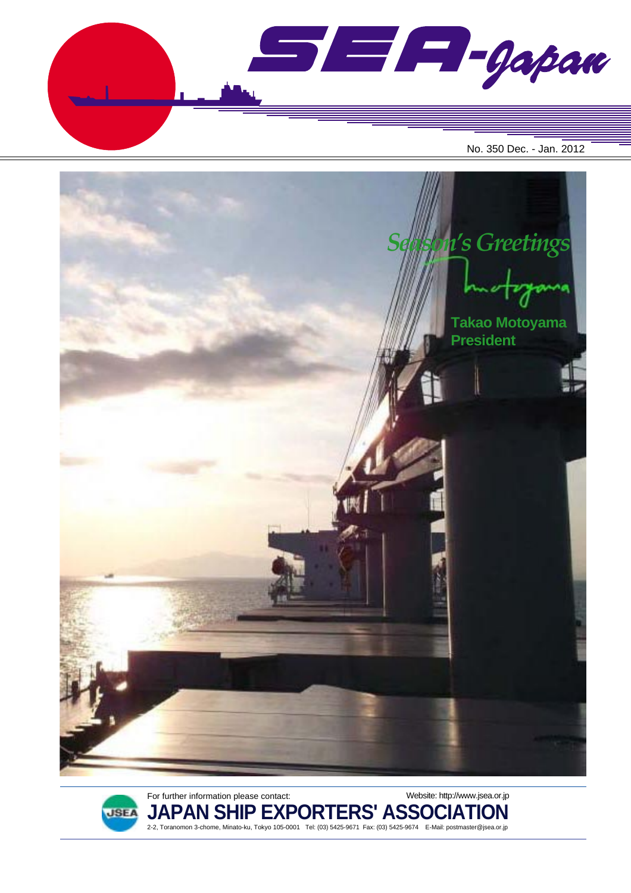





For further information please contact:

**JAPAN SHIP EXPORTERS' ASSOCIATION** 2-2, Toranomon 3-chome, Minato-ku, Tokyo 105-0001 Tel: (03) 5425-9671 Fax: (03) 5425-9674 E-Mail: postmaster@jsea.or.jp

Website: http://www.jsea.or.jp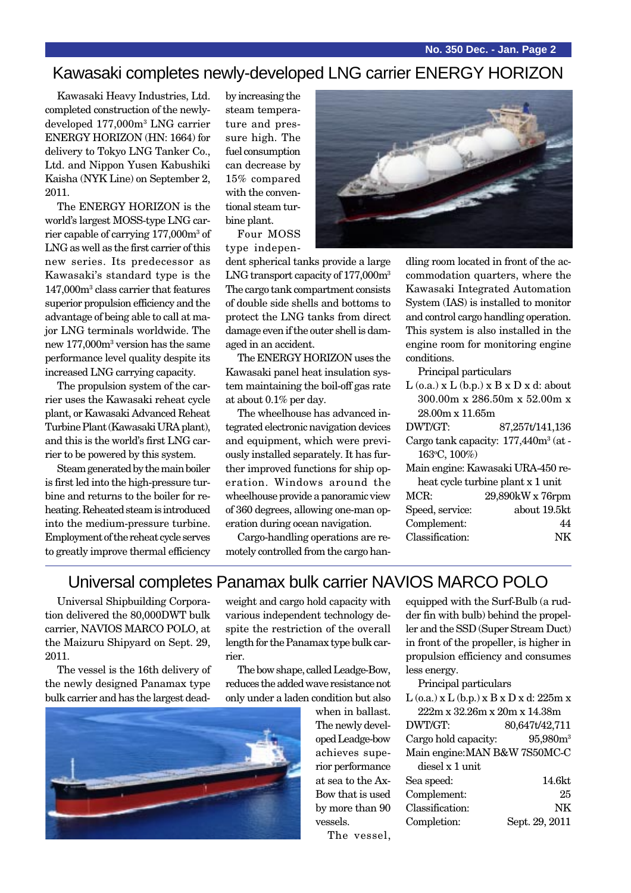## Kawasaki completes newly-developed LNG carrier ENERGY HORIZON

Kawasaki Heavy Industries, Ltd. completed construction of the newlydeveloped 177,000m3 LNG carrier ENERGY HORIZON (HN: 1664) for delivery to Tokyo LNG Tanker Co., Ltd. and Nippon Yusen Kabushiki Kaisha (NYK Line) on September 2, 2011.

The ENERGY HORIZON is the world's largest MOSS-type LNG carrier capable of carrying 177,000m<sup>3</sup> of LNG as well as the first carrier of this new series. Its predecessor as Kawasaki's standard type is the 147,000m3 class carrier that features superior propulsion efficiency and the advantage of being able to call at major LNG terminals worldwide. The new 177,000m3 version has the same performance level quality despite its increased LNG carrying capacity.

The propulsion system of the carrier uses the Kawasaki reheat cycle plant, or Kawasaki Advanced Reheat Turbine Plant (Kawasaki URA plant), and this is the world's first LNG carrier to be powered by this system.

Steam generated by the main boiler is first led into the high-pressure turbine and returns to the boiler for reheating. Reheated steam is introduced into the medium-pressure turbine. Employment of the reheat cycle serves to greatly improve thermal efficiency

by increasing the steam temperature and pressure high. The fuel consumption can decrease by 15% compared with the conventional steam turbine plant.

Four MOSS type indepen-

dent spherical tanks provide a large LNG transport capacity of 177,000m<sup>3</sup> The cargo tank compartment consists of double side shells and bottoms to protect the LNG tanks from direct damage even if the outer shell is damaged in an accident.

The ENERGY HORIZON uses the Kawasaki panel heat insulation system maintaining the boil-off gas rate at about 0.1% per day.

The wheelhouse has advanced integrated electronic navigation devices and equipment, which were previously installed separately. It has further improved functions for ship operation. Windows around the wheelhouse provide a panoramic view of 360 degrees, allowing one-man operation during ocean navigation.

Cargo-handling operations are remotely controlled from the cargo han-



dling room located in front of the accommodation quarters, where the Kawasaki Integrated Automation System (IAS) is installed to monitor and control cargo handling operation. This system is also installed in the engine room for monitoring engine conditions.

Principal particulars

 $L$  (o.a.)  $x L$  (b.p.)  $x B x D x d$ : about 300.00m x 286.50m x 52.00m x 28.00m x 11.65m

| DWT/GT:                           | 87,257t/141,136                                  |  |
|-----------------------------------|--------------------------------------------------|--|
|                                   | Cargo tank capacity: 177,440m <sup>3</sup> (at - |  |
| 163°C, 100%)                      |                                                  |  |
| Main engine: Kawasaki URA-450 re- |                                                  |  |
| heat cycle turbine plant x 1 unit |                                                  |  |
| MCR:                              | 29,890kW x 76rpm                                 |  |
| Speed, service:                   | about 19.5kt                                     |  |
| Complement:                       |                                                  |  |

Classification: NK

# Universal completes Panamax bulk carrier NAVIOS MARCO POLO

Universal Shipbuilding Corporation delivered the 80,000DWT bulk carrier, NAVIOS MARCO POLO, at the Maizuru Shipyard on Sept. 29, 2011.

The vessel is the 16th delivery of the newly designed Panamax type bulk carrier and has the largest dead-



weight and cargo hold capacity with various independent technology despite the restriction of the overall length for the Panamax type bulk carrier.

The bow shape, called Leadge-Bow, reduces the added wave resistance not only under a laden condition but also

> when in ballast. The newly developed Leadge-bow achieves superior performance at sea to the Ax-Bow that is used by more than 90 vessels.

equipped with the Surf-Bulb (a rudder fin with bulb) behind the propeller and the SSD (Super Stream Duct) in front of the propeller, is higher in propulsion efficiency and consumes less energy.

Principal particulars

L (o.a.) x L (b.p.) x B x D x d: 225m x 222m x 32.26m x 20m x 14.38m

DWT/GT: 80,647t/42,711 Cargo hold capacity: 95,980m<sup>3</sup> Main engine:MAN B&W 7S50MC-C

| diesel x 1 unit |                |
|-----------------|----------------|
| Sea speed:      | 14.6kt         |
| Complement:     | 25             |
| Classification: | NK             |
| Completion:     | Sept. 29, 2011 |
|                 |                |

The vessel,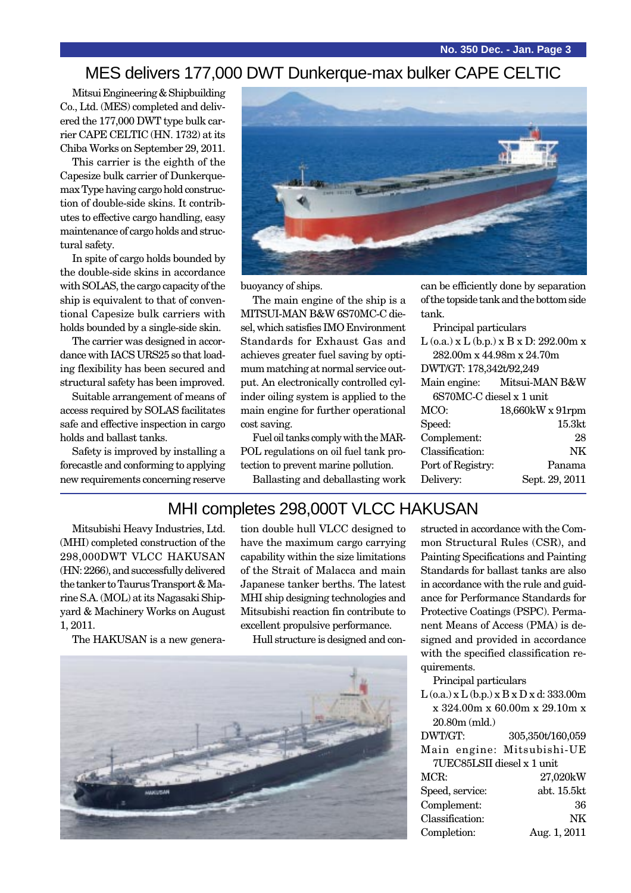#### MES delivers 177,000 DWT Dunkerque-max bulker CAPE CELTIC

Mitsui Engineering & Shipbuilding Co., Ltd. (MES) completed and delivered the 177,000 DWT type bulk carrier CAPE CELTIC (HN. 1732) at its Chiba Works on September 29, 2011.

This carrier is the eighth of the Capesize bulk carrier of Dunkerquemax Type having cargo hold construction of double-side skins. It contributes to effective cargo handling, easy maintenance of cargo holds and structural safety.

In spite of cargo holds bounded by the double-side skins in accordance with SOLAS, the cargo capacity of the ship is equivalent to that of conventional Capesize bulk carriers with holds bounded by a single-side skin.

The carrier was designed in accordance with IACS URS25 so that loading flexibility has been secured and structural safety has been improved.

Suitable arrangement of means of access required by SOLAS facilitates safe and effective inspection in cargo holds and ballast tanks.

Safety is improved by installing a forecastle and conforming to applying new requirements concerning reserve



buoyancy of ships.

The main engine of the ship is a MITSUI-MAN B&W 6S70MC-C diesel, which satisfies IMO Environment Standards for Exhaust Gas and achieves greater fuel saving by optimum matching at normal service output. An electronically controlled cylinder oiling system is applied to the main engine for further operational cost saving.

Fuel oil tanks comply with the MAR-POL regulations on oil fuel tank protection to prevent marine pollution.

Ballasting and deballasting work

can be efficiently done by separation of the topside tank and the bottom side tank.

Principal particulars

| $L$ (o.a.) x $L$ (b.p.) x $B$ x $D$ : 292.00m x |                             |  |
|-------------------------------------------------|-----------------------------|--|
| 282.00m x 44.98m x 24.70m                       |                             |  |
| DWT/GT: 178,342t/92,249                         |                             |  |
|                                                 | Main engine: Mitsui-MAN B&W |  |
| 6S70MC-C diesel x 1 unit                        |                             |  |
| MCO:                                            | 18,660kW x 91rpm            |  |
| Speed:                                          | 15.3 <sub>kt</sub>          |  |
| Complement:                                     | 28                          |  |
| Classification:                                 | NK                          |  |
| Port of Registry:                               | Panama                      |  |
| Delivery:                                       | Sept. 29, 2011              |  |
|                                                 |                             |  |

#### MHI completes 298,000T VLCC HAKUSAN

Mitsubishi Heavy Industries, Ltd. (MHI) completed construction of the 298,000DWT VLCC HAKUSAN (HN: 2266), and successfully delivered the tanker to Taurus Transport & Marine S.A. (MOL) at its Nagasaki Shipyard & Machinery Works on August 1, 2011.

The HAKUSAN is a new genera-

tion double hull VLCC designed to have the maximum cargo carrying capability within the size limitations of the Strait of Malacca and main Japanese tanker berths. The latest MHI ship designing technologies and Mitsubishi reaction fin contribute to excellent propulsive performance.

Hull structure is designed and con-



structed in accordance with the Common Structural Rules (CSR), and Painting Specifications and Painting Standards for ballast tanks are also in accordance with the rule and guidance for Performance Standards for Protective Coatings (PSPC). Permanent Means of Access (PMA) is designed and provided in accordance with the specified classification requirements.

Principal particulars

L (o.a.) x L (b.p.) x B x D x d: 333.00m x 324.00m x 60.00m x 29.10m x 20.80m (mld.)

DWT/GT: 305,350t/160,059 Main engine: Mitsubishi-UE 7UEC85LSII diesel x 1 unit MCR: 27,020kW Speed, service: abt. 15.5kt Complement: 36 Classificatio

| Classification: | <b>NK</b>    |
|-----------------|--------------|
| Completion:     | Aug. 1, 2011 |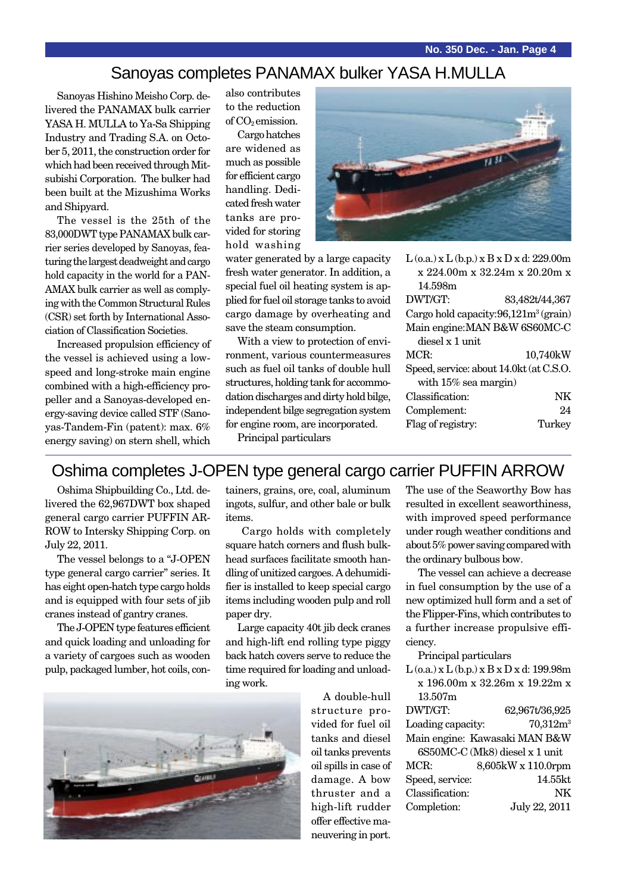#### Sanoyas completes PANAMAX bulker YASA H.MULLA

Sanoyas Hishino Meisho Corp. delivered the PANAMAX bulk carrier YASA H. MULLA to Ya-Sa Shipping Industry and Trading S.A. on October 5, 2011, the construction order for which had been received through Mitsubishi Corporation. The bulker had been built at the Mizushima Works and Shipyard.

The vessel is the 25th of the 83,000DWT type PANAMAX bulk carrier series developed by Sanoyas, featuring the largest deadweight and cargo hold capacity in the world for a PAN-AMAX bulk carrier as well as complying with the Common Structural Rules (CSR) set forth by International Association of Classification Societies.

Increased propulsion efficiency of the vessel is achieved using a lowspeed and long-stroke main engine combined with a high-efficiency propeller and a Sanoyas-developed energy-saving device called STF (Sanoyas-Tandem-Fin (patent): max. 6% energy saving) on stern shell, which

also contributes to the reduction of  $CO<sub>2</sub>$  emission.

Cargo hatches are widened as much as possible for efficient cargo handling. Dedicated fresh water tanks are provided for storing hold washing



water generated by a large capacity fresh water generator. In addition, a special fuel oil heating system is applied for fuel oil storage tanks to avoid cargo damage by overheating and save the steam consumption.

With a view to protection of environment, various countermeasures such as fuel oil tanks of double hull structures, holding tank for accommodation discharges and dirty hold bilge, independent bilge segregation system for engine room, are incorporated.

Principal particulars

x 224.00m x 32.24m x 20.20m x 14.598m DWT/GT: 83,482t/44,367 Cargo hold capacity:  $96,121m^3$  (grain) Main engine:MAN B&W 6S60MC-C diesel x 1 unit MCR: 10,740kW Speed, service: about 14.0kt (at C.S.O. with 15% sea margin) Classification: NK Complement: 24 Flag of registry: Turkey

 $L$  (o.a.) x  $L$  (b.p.) x  $B$  x  $D$  x d: 229.00m

# Oshima completes J-OPEN type general cargo carrier PUFFIN ARROW

Oshima Shipbuilding Co., Ltd. delivered the 62,967DWT box shaped general cargo carrier PUFFIN AR-ROW to Intersky Shipping Corp. on July 22, 2011.

The vessel belongs to a "J-OPEN type general cargo carrier" series. It has eight open-hatch type cargo holds and is equipped with four sets of jib cranes instead of gantry cranes.

The J-OPEN type features efficient and quick loading and unloading for a variety of cargoes such as wooden pulp, packaged lumber, hot coils, con-

tainers, grains, ore, coal, aluminum ingots, sulfur, and other bale or bulk items.

 Cargo holds with completely square hatch corners and flush bulkhead surfaces facilitate smooth handling of unitized cargoes. A dehumidifier is installed to keep special cargo items including wooden pulp and roll paper dry.

Large capacity 40t jib deck cranes and high-lift end rolling type piggy back hatch covers serve to reduce the time required for loading and unloading work.

> A double-hull structure provided for fuel oil tanks and diesel oil tanks prevents oil spills in case of damage. A bow thruster and a high-lift rudder offer effective maneuvering in port.

The use of the Seaworthy Bow has resulted in excellent seaworthiness, with improved speed performance under rough weather conditions and about 5% power saving compared with the ordinary bulbous bow.

The vessel can achieve a decrease in fuel consumption by the use of a new optimized hull form and a set of the Flipper-Fins, which contributes to a further increase propulsive efficiency.

Principal particulars

| $L$ (o.a.) x $L$ (b.p.) x $B$ x $D$ x d: 199.98m |                    |  |
|--------------------------------------------------|--------------------|--|
| x 196.00m x 32.26m x 19.22m x                    |                    |  |
| 13.507m                                          |                    |  |
| DWT/GT:                                          | 62,967t/36,925     |  |
| Loading capacity:                                | $70,312m^3$        |  |
| Main engine: Kawasaki MAN B&W                    |                    |  |
| 6S50MC-C (Mk8) diesel x 1 unit                   |                    |  |
| MCR:                                             | 8,605kW x 110.0rpm |  |
| Speed, service:                                  | 14.55kt            |  |
| Classification:                                  | NK                 |  |
| Completion:                                      | July 22, 2011      |  |
|                                                  |                    |  |

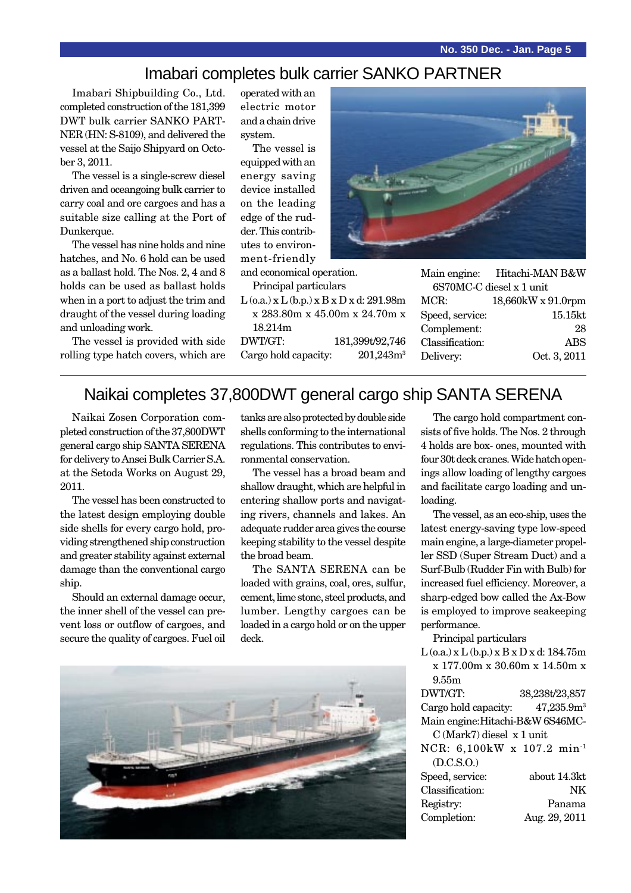**No. 350 Dec. - Jan. Page 5**

#### Imabari completes bulk carrier SANKO PARTNER

Imabari Shipbuilding Co., Ltd. completed construction of the 181,399 DWT bulk carrier SANKO PART-NER (HN: S-8109), and delivered the vessel at the Saijo Shipyard on October 3, 2011.

The vessel is a single-screw diesel driven and oceangoing bulk carrier to carry coal and ore cargoes and has a suitable size calling at the Port of Dunkerque.

The vessel has nine holds and nine hatches, and No. 6 hold can be used as a ballast hold. The Nos. 2, 4 and 8 holds can be used as ballast holds when in a port to adjust the trim and draught of the vessel during loading and unloading work.

The vessel is provided with side rolling type hatch covers, which are operated with an electric motor and a chain drive system.

The vessel is equipped with an energy saving device installed on the leading edge of the rudder. This contributes to environment-friendly

and economical operation.

- Principal particulars
- $L$  (o.a.) x  $L$  (b.p.) x  $B$  x  $D$  x d: 291.98 x 283.80m x 45.00m x 24.70m x 18.214m

DWT/GT: 181,399t/92,746 Cargo hold capacity: 201,243r



|                          |                 | Main engine: Hitachi-MAN B&W |
|--------------------------|-----------------|------------------------------|
| 6S70MC-C diesel x 1 unit |                 |                              |
| m                        | MCR:            | 18,660kW x 91.0rpm           |
| $\mathbf{x}$             | Speed, service: | 15.15kt                      |
|                          | Complement:     | 28                           |
| 16                       | Classification: | ABS                          |
| ${\mathsf n}^3$          | Delivery:       | Oct. 3, 2011                 |
|                          |                 |                              |

## Naikai completes 37,800DWT general cargo ship SANTA SERENA

Naikai Zosen Corporation completed construction of the 37,800DWT general cargo ship SANTA SERENA for delivery to Ansei Bulk Carrier S.A. at the Setoda Works on August 29, 2011.

The vessel has been constructed to the latest design employing double side shells for every cargo hold, providing strengthened ship construction and greater stability against external damage than the conventional cargo ship.

Should an external damage occur, the inner shell of the vessel can prevent loss or outflow of cargoes, and secure the quality of cargoes. Fuel oil

tanks are also protected by double side shells conforming to the international regulations. This contributes to environmental conservation.

The vessel has a broad beam and shallow draught, which are helpful in entering shallow ports and navigating rivers, channels and lakes. An adequate rudder area gives the course keeping stability to the vessel despite the broad beam.

The SANTA SERENA can be loaded with grains, coal, ores, sulfur, cement, lime stone, steel products, and lumber. Lengthy cargoes can be loaded in a cargo hold or on the upper deck.



The cargo hold compartment consists of five holds. The Nos. 2 through 4 holds are box- ones, mounted with four 30t deck cranes. Wide hatch openings allow loading of lengthy cargoes and facilitate cargo loading and unloading.

The vessel, as an eco-ship, uses the latest energy-saving type low-speed main engine, a large-diameter propeller SSD (Super Stream Duct) and a Surf-Bulb (Rudder Fin with Bulb) for increased fuel efficiency. Moreover, a sharp-edged bow called the Ax-Bow is employed to improve seakeeping performance.

Principal particulars

| $L$ (o.a.) x $L$ (b.p.) x $B$ x $D$ x d: 184.75m |                        |  |
|--------------------------------------------------|------------------------|--|
| x 177.00m x 30.60m x 14.50m x                    |                        |  |
| 9.55m                                            |                        |  |
| DWT/GT:                                          | 38,238t/23,857         |  |
| Cargo hold capacity:                             | 47,235.9m <sup>3</sup> |  |
| Main engine: Hitachi-B&W 6S46MC-                 |                        |  |
| $C$ (Mark7) diesel $x 1$ unit                    |                        |  |
| NCR: 6,100kW x 107.2 min <sup>-1</sup>           |                        |  |
| (D.C.S.O.)                                       |                        |  |
| Speed, service:                                  | about 14.3kt           |  |
| Classification:                                  | NK                     |  |
| Registry:                                        | Panama                 |  |
| Completion:                                      | Aug. 29, 2011          |  |